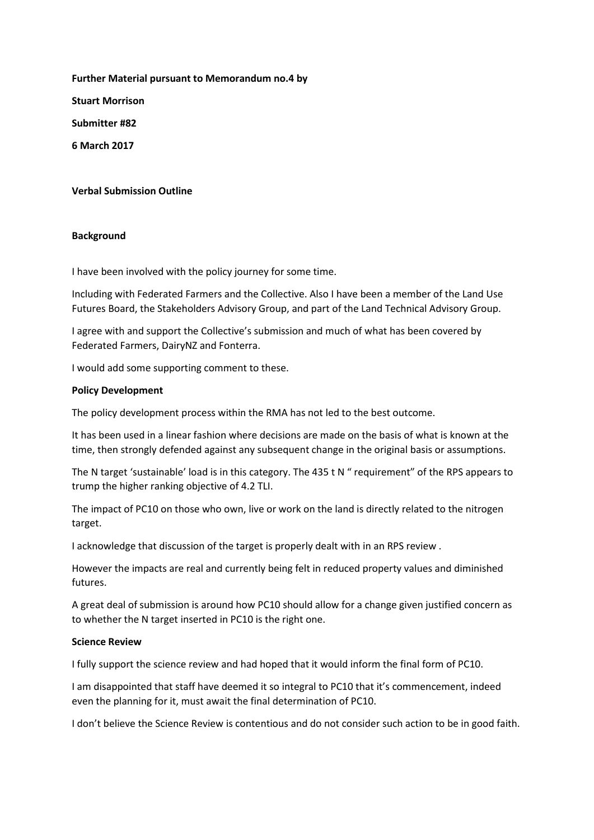**Further Material pursuant to Memorandum no.4 by Stuart Morrison Submitter #82 6 March 2017**

## **Verbal Submission Outline**

## **Background**

I have been involved with the policy journey for some time.

Including with Federated Farmers and the Collective. Also I have been a member of the Land Use Futures Board, the Stakeholders Advisory Group, and part of the Land Technical Advisory Group.

I agree with and support the Collective's submission and much of what has been covered by Federated Farmers, DairyNZ and Fonterra.

I would add some supporting comment to these.

#### **Policy Development**

The policy development process within the RMA has not led to the best outcome.

It has been used in a linear fashion where decisions are made on the basis of what is known at the time, then strongly defended against any subsequent change in the original basis or assumptions.

The N target 'sustainable' load is in this category. The 435 t N " requirement" of the RPS appears to trump the higher ranking objective of 4.2 TLI.

The impact of PC10 on those who own, live or work on the land is directly related to the nitrogen target.

I acknowledge that discussion of the target is properly dealt with in an RPS review .

However the impacts are real and currently being felt in reduced property values and diminished futures.

A great deal of submission is around how PC10 should allow for a change given justified concern as to whether the N target inserted in PC10 is the right one.

#### **Science Review**

I fully support the science review and had hoped that it would inform the final form of PC10.

I am disappointed that staff have deemed it so integral to PC10 that it's commencement, indeed even the planning for it, must await the final determination of PC10.

I don't believe the Science Review is contentious and do not consider such action to be in good faith.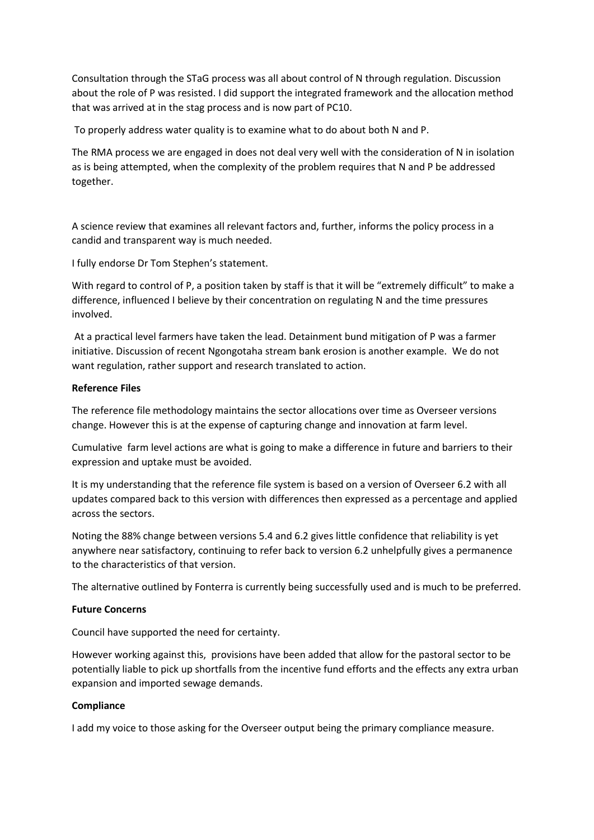Consultation through the STaG process was all about control of N through regulation. Discussion about the role of P was resisted. I did support the integrated framework and the allocation method that was arrived at in the stag process and is now part of PC10.

To properly address water quality is to examine what to do about both N and P.

The RMA process we are engaged in does not deal very well with the consideration of N in isolation as is being attempted, when the complexity of the problem requires that N and P be addressed together.

A science review that examines all relevant factors and, further, informs the policy process in a candid and transparent way is much needed.

I fully endorse Dr Tom Stephen's statement.

With regard to control of P, a position taken by staff is that it will be "extremely difficult" to make a difference, influenced I believe by their concentration on regulating N and the time pressures involved.

At a practical level farmers have taken the lead. Detainment bund mitigation of P was a farmer initiative. Discussion of recent Ngongotaha stream bank erosion is another example. We do not want regulation, rather support and research translated to action.

## **Reference Files**

The reference file methodology maintains the sector allocations over time as Overseer versions change. However this is at the expense of capturing change and innovation at farm level.

Cumulative farm level actions are what is going to make a difference in future and barriers to their expression and uptake must be avoided.

It is my understanding that the reference file system is based on a version of Overseer 6.2 with all updates compared back to this version with differences then expressed as a percentage and applied across the sectors.

Noting the 88% change between versions 5.4 and 6.2 gives little confidence that reliability is yet anywhere near satisfactory, continuing to refer back to version 6.2 unhelpfully gives a permanence to the characteristics of that version.

The alternative outlined by Fonterra is currently being successfully used and is much to be preferred.

## **Future Concerns**

Council have supported the need for certainty.

However working against this, provisions have been added that allow for the pastoral sector to be potentially liable to pick up shortfalls from the incentive fund efforts and the effects any extra urban expansion and imported sewage demands.

# **Compliance**

I add my voice to those asking for the Overseer output being the primary compliance measure.